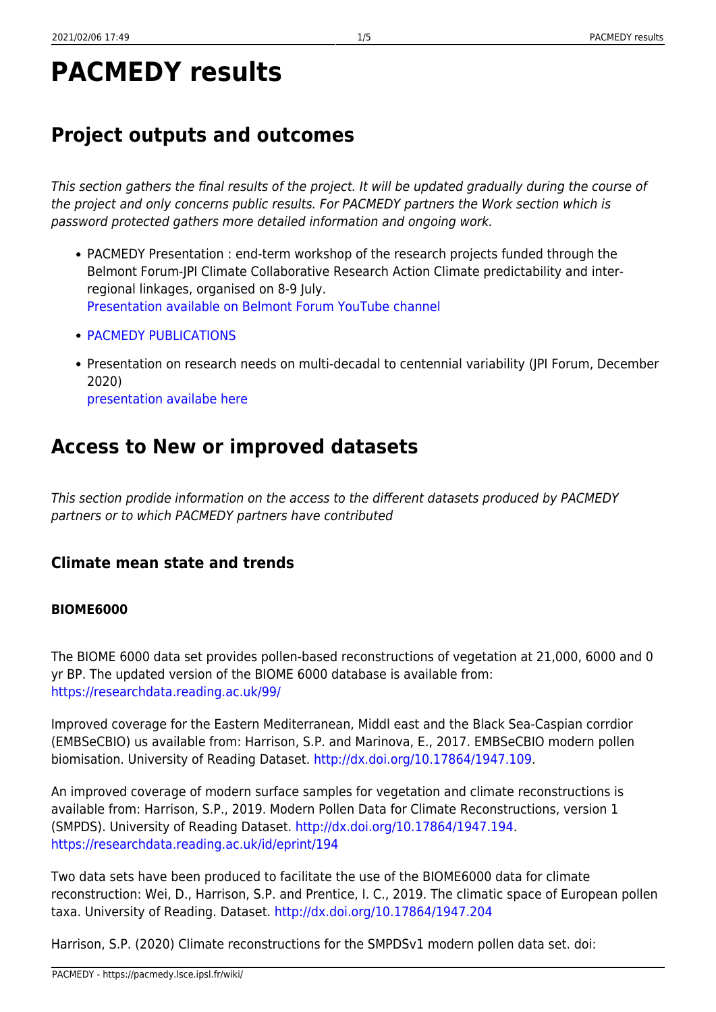# **PACMEDY results**

# **Project outputs and outcomes**

This section gathers the final results of the project. It will be updated gradually during the course of the project and only concerns public results. For PACMEDY partners the Work section which is password protected gathers more detailed information and ongoing work.

- PACMEDY Presentation : end-term workshop of the research projects funded through the Belmont Forum-JPI Climate Collaborative Research Action Climate predictability and interregional linkages, organised on 8-9 July. [Presentation available on Belmont Forum YouTube channel](https://www.youtube.com/watch?v=1z0umsj0tOU&list=PLq4USJIxTB6RjdatZpaaGvzNbRbS57yqm&index=5)
- **[PACMEDY PUBLICATIONS](https://pacmedy.lsce.ipsl.fr/wiki/doku.php/results:biblio)**
- Presentation on research needs on multi-decadal to centennial variability (JPI Forum, December 2020) [presentation availabe here](https://sharebox.lsce.ipsl.fr/index.php/s/U607AZ96ADnC6hC)

# **Access to New or improved datasets**

This section prodide information on the access to the different datasets produced by PACMEDY partners or to which PACMEDY partners have contributed

### **Climate mean state and trends**

### **BIOME6000**

The BIOME 6000 data set provides pollen-based reconstructions of vegetation at 21,000, 6000 and 0 yr BP. The updated version of the BIOME 6000 database is available from: <https://researchdata.reading.ac.uk/99/>

Improved coverage for the Eastern Mediterranean, Middl east and the Black Sea-Caspian corrdior (EMBSeCBIO) us available from: Harrison, S.P. and Marinova, E., 2017. EMBSeCBIO modern pollen biomisation. University of Reading Dataset.<http://dx.doi.org/10.17864/1947.109>.

An improved coverage of modern surface samples for vegetation and climate reconstructions is available from: Harrison, S.P., 2019. Modern Pollen Data for Climate Reconstructions, version 1 (SMPDS). University of Reading Dataset. <http://dx.doi.org/10.17864/1947.194>. <https://researchdata.reading.ac.uk/id/eprint/194>

Two data sets have been produced to facilitate the use of the BIOME6000 data for climate reconstruction: Wei, D., Harrison, S.P. and Prentice, I. C., 2019. The climatic space of European pollen taxa. University of Reading. Dataset.<http://dx.doi.org/10.17864/1947.204>

Harrison, S.P. (2020) Climate reconstructions for the SMPDSv1 modern pollen data set. doi: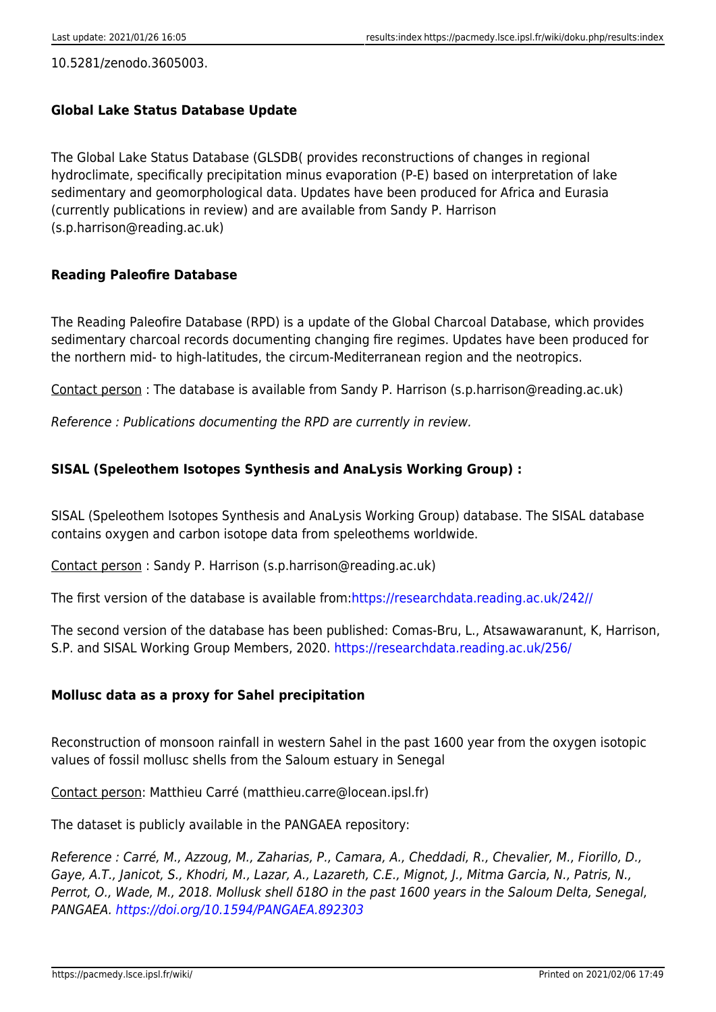10.5281/zenodo.3605003.

#### **Global Lake Status Database Update**

The Global Lake Status Database (GLSDB( provides reconstructions of changes in regional hydroclimate, specifically precipitation minus evaporation (P-E) based on interpretation of lake sedimentary and geomorphological data. Updates have been produced for Africa and Eurasia (currently publications in review) and are available from Sandy P. Harrison (s.p.harrison@reading.ac.uk)

#### **Reading Paleofire Database**

The Reading Paleofire Database (RPD) is a update of the Global Charcoal Database, which provides sedimentary charcoal records documenting changing fire regimes. Updates have been produced for the northern mid- to high-latitudes, the circum-Mediterranean region and the neotropics.

Contact person : The database is available from Sandy P. Harrison (s.p.harrison@reading.ac.uk)

Reference : Publications documenting the RPD are currently in review.

#### **SISAL (Speleothem Isotopes Synthesis and AnaLysis Working Group) :**

SISAL (Speleothem Isotopes Synthesis and AnaLysis Working Group) database. The SISAL database contains oxygen and carbon isotope data from speleothems worldwide.

Contact person : Sandy P. Harrison (s.p.harrison@reading.ac.uk)

The first version of the database is available from[:https://researchdata.reading.ac.uk/242//](https://researchdata.reading.ac.uk/242//)

The second version of the database has been published: Comas-Bru, L., Atsawawaranunt, K, Harrison, S.P. and SISAL Working Group Members, 2020.<https://researchdata.reading.ac.uk/256/>

#### **Mollusc data as a proxy for Sahel precipitation**

Reconstruction of monsoon rainfall in western Sahel in the past 1600 year from the oxygen isotopic values of fossil mollusc shells from the Saloum estuary in Senegal

Contact person: Matthieu Carré (matthieu.carre@locean.ipsl.fr)

The dataset is publicly available in the PANGAEA repository:

Reference : Carré, M., Azzoug, M., Zaharias, P., Camara, A., Cheddadi, R., Chevalier, M., Fiorillo, D., Gaye, A.T., Janicot, S., Khodri, M., Lazar, A., Lazareth, C.E., Mignot, J., Mitma Garcia, N., Patris, N., Perrot, O., Wade, M., 2018. Mollusk shell δ18O in the past 1600 years in the Saloum Delta, Senegal, PANGAEA.<https://doi.org/10.1594/PANGAEA.892303>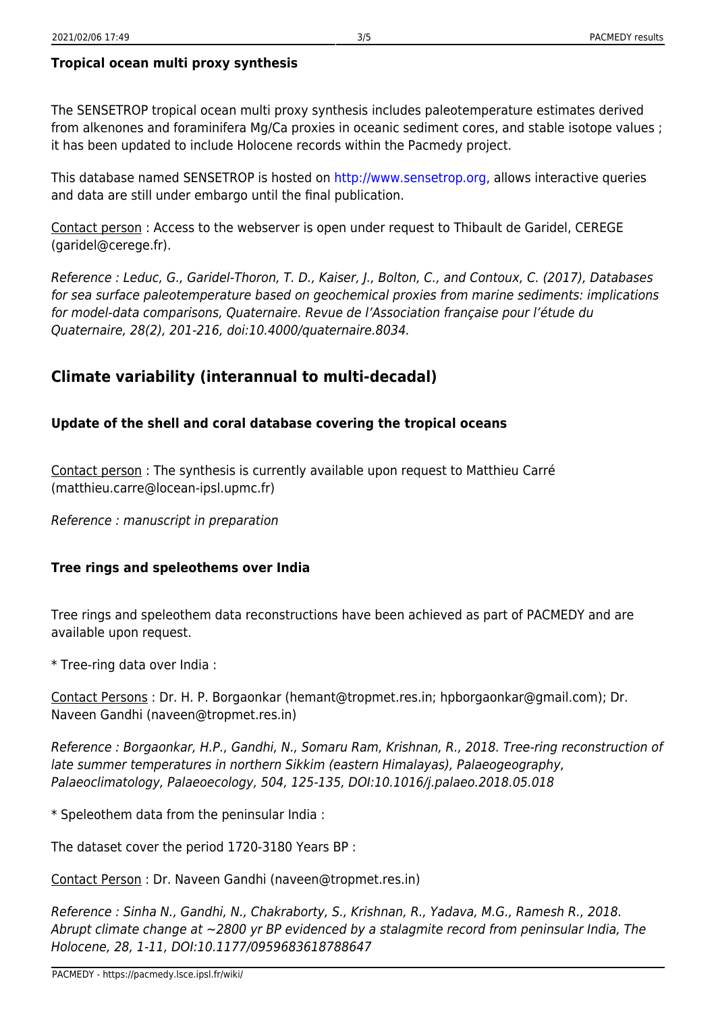The SENSETROP tropical ocean multi proxy synthesis includes paleotemperature estimates derived from alkenones and foraminifera Mg/Ca proxies in oceanic sediment cores, and stable isotope values ; it has been updated to include Holocene records within the Pacmedy project.

This database named SENSETROP is hosted on<http://www.sensetrop.org>, allows interactive queries and data are still under embargo until the final publication.

Contact person : Access to the webserver is open under request to Thibault de Garidel, CEREGE (garidel@cerege.fr).

Reference : Leduc, G., Garidel-Thoron, T. D., Kaiser, J., Bolton, C., and Contoux, C. (2017), Databases for sea surface paleotemperature based on geochemical proxies from marine sediments: implications for model-data comparisons, Quaternaire. Revue de l'Association française pour l'étude du Quaternaire, 28(2), 201-216, doi:10.4000/quaternaire.8034.

### **Climate variability (interannual to multi-decadal)**

#### **Update of the shell and coral database covering the tropical oceans**

Contact person : The synthesis is currently available upon request to Matthieu Carré (matthieu.carre@locean-ipsl.upmc.fr)

Reference : manuscript in preparation

#### **Tree rings and speleothems over India**

Tree rings and speleothem data reconstructions have been achieved as part of PACMEDY and are available upon request.

\* Tree-ring data over India :

Contact Persons : Dr. H. P. Borgaonkar (hemant@tropmet.res.in; hpborgaonkar@gmail.com); Dr. Naveen Gandhi (naveen@tropmet.res.in)

Reference : Borgaonkar, H.P., Gandhi, N., Somaru Ram, Krishnan, R., 2018. Tree-ring reconstruction of late summer temperatures in northern Sikkim (eastern Himalayas), Palaeogeography, Palaeoclimatology, Palaeoecology, 504, 125-135, DOI:10.1016/j.palaeo.2018.05.018

\* Speleothem data from the peninsular India :

The dataset cover the period 1720-3180 Years BP :

Contact Person : Dr. Naveen Gandhi (naveen@tropmet.res.in)

Reference : Sinha N., Gandhi, N., Chakraborty, S., Krishnan, R., Yadava, M.G., Ramesh R., 2018. Abrupt climate change at ~2800 yr BP evidenced by a stalagmite record from peninsular India, The Holocene, 28, 1-11, DOI:10.1177/0959683618788647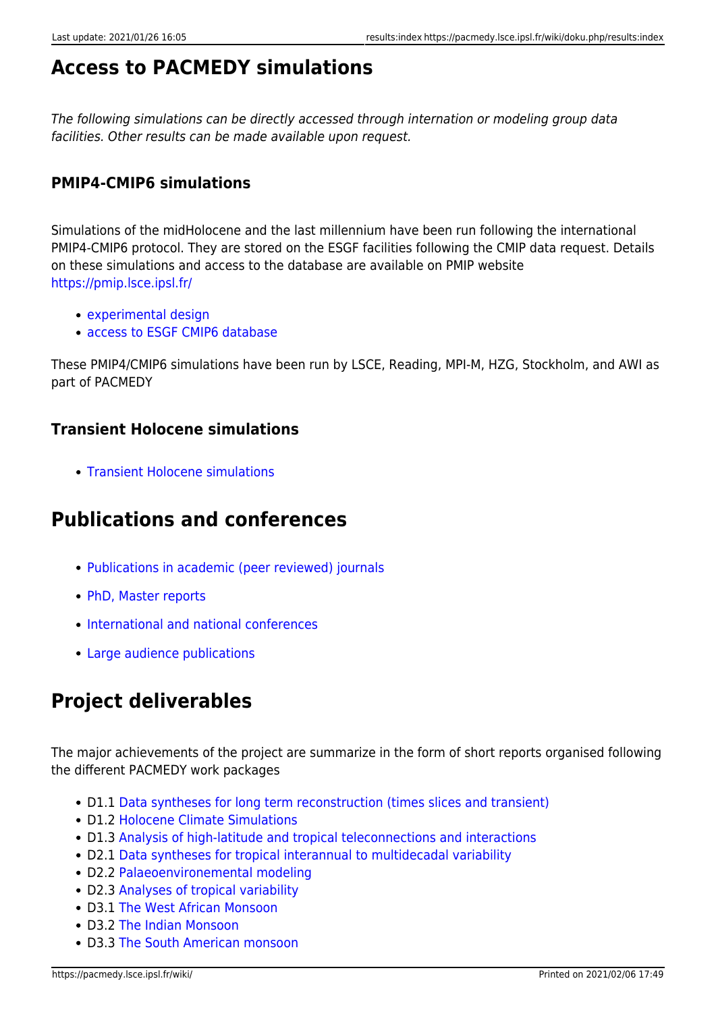## **Access to PACMEDY simulations**

The following simulations can be directly accessed through internation or modeling group data facilities. Other results can be made available upon request.

### **PMIP4-CMIP6 simulations**

Simulations of the midHolocene and the last millennium have been run following the international PMIP4-CMIP6 protocol. They are stored on the ESGF facilities following the CMIP data request. Details on these simulations and access to the database are available on PMIP website <https://pmip.lsce.ipsl.fr/>

- [experimental design](https://pmip.lsce.ipsl.fr/protocols_and_data/experimental_design)
- [access to ESGF CMIP6 database](https://esgf-node.ipsl.upmc.fr/search/cmip6-ipsl/)

These PMIP4/CMIP6 simulations have been run by LSCE, Reading, MPI-M, HZG, Stockholm, and AWI as part of PACMEDY

#### **Transient Holocene simulations**

• [Transient Holocene simulations](https://pacmedy.lsce.ipsl.fr/wiki/doku.php/results:transientholocenesimulations)

### **Publications and conferences**

- [Publications in academic \(peer reviewed\) journals](https://pacmedy.lsce.ipsl.fr/wiki/doku.php/results:biblio)
- [PhD, Master reports](https://pacmedy.lsce.ipsl.fr/wiki/doku.php/results:academicreportslist)
- [International and national conferences](https://pacmedy.lsce.ipsl.fr/wiki/doku.php/results:academicconferences)
- [Large audience publications](https://pacmedy.lsce.ipsl.fr/wiki/doku.php/results:largeaudiencepublication)

## **Project deliverables**

The major achievements of the project are summarize in the form of short reports organised following the different PACMEDY work packages

- D1.1 [Data syntheses for long term reconstruction \(times slices and transient\)](https://sharebox.lsce.ipsl.fr/index.php/s/P7k7ETcblFOODXy)
- D1.2 [Holocene Climate Simulations](https://sharebox.lsce.ipsl.fr/index.php/s/x7FvBeYdR4RSVcg)
- D1.3 Analysis of high-latitude and tropical teleconnections and interactions
- D2.1 [Data syntheses for tropical interannual to multidecadal variability](https://sharebox.lsce.ipsl.fr/index.php/s/AA1NkbNSFDNFw8j)
- D2.2 [Palaeoenvironemental modeling](https://sharebox.lsce.ipsl.fr/index.php/s/bOIYnjt7Z2jZOBd)
- D2.3 [Analyses of tropical variability](https://sharebox.lsce.ipsl.fr/index.php/s/EoF2DnXGd5TN9CC)
- D3.1 [The West African Monsoon](https://sharebox.lsce.ipsl.fr/index.php/s/QXKru3xno6ncV6d)
- D3.2 [The Indian Monsoon](https://sharebox.lsce.ipsl.fr/index.php/s/eIlO49ikaySlI9a)
- D3.3 [The South American monsoon](https://sharebox.lsce.ipsl.fr/index.php/s/QO45vC9ZPkI1GZL)